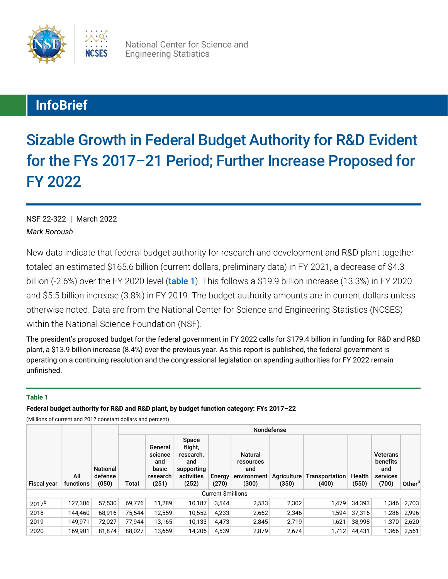

National Center for Science and Engineering Statistics

# **InfoBrief**

Sizable Growth in Federal Budget Authority for R&D Evident for the FYs 2017–21 Period; Further Increase Proposed for FY 2022

*Mark Boroush* NSF 22-322 | March 2022

New data indicate that federal budget authority for research and development and R&D plant together totaled an estimated \$165.6 billion (current dollars, preliminary data) in FY 2021, a decrease of \$4.3 billion (-2.6%) over the FY 2020 level ([table 1](#page-0-0)). This follows a \$19.9 billion increase (13.3%) in FY 2020 and \$5.5 billion increase (3.8%) in FY 2019. The budget authority amounts are in current dollars unless otherwise noted. Data are from the National Center for Science and Engineering Statistics (NCSES) within the National Science Foundation (NSF).

The president's proposed budget for the federal government in FY 2022 calls for \$179.4 billion in funding for R&D and R&D plant, a \$13.9 billion increase (8.4%) over the previous year. As this report is published, the federal government is operating on a continuing resolution and the congressional legislation on spending authorities for FY 2022 remain unfinished.

### <span id="page-0-0"></span>**Table 1**

**Federal budget authority for R&D and R&D plant, by budget function category: FYs 2017–22**

(Millions of current and 2012 constant dollars and percent)

|                    |                          |                                     | Nondefense |                                                         |                                                                           |                 |                                                            |                      |                         |                 |                                                         |                    |  |
|--------------------|--------------------------|-------------------------------------|------------|---------------------------------------------------------|---------------------------------------------------------------------------|-----------------|------------------------------------------------------------|----------------------|-------------------------|-----------------|---------------------------------------------------------|--------------------|--|
| <b>Fiscal year</b> | All<br>functions         | <b>National</b><br>defense<br>(050) | Total      | General<br>science<br>and<br>basic<br>research<br>(251) | Space<br>flight,<br>research,<br>and<br>supporting<br>activities<br>(252) | Energy<br>(270) | <b>Natural</b><br>resources<br>and<br>environment<br>(300) | Agriculture<br>(350) | Transportation<br>(400) | Health<br>(550) | <b>Veterans</b><br>benefits<br>and<br>services<br>(700) | Other <sup>a</sup> |  |
|                    | <b>Current Smillions</b> |                                     |            |                                                         |                                                                           |                 |                                                            |                      |                         |                 |                                                         |                    |  |
| 2017 <sup>b</sup>  | 127,306                  | 57,530                              | 69,776     | 11,289                                                  | 10,187                                                                    | 3,544           | 2,533                                                      | 2,302                | 1,479                   | 34,393          | 1,346                                                   | 2,703              |  |
| 2018               | 144.460                  | 68.916                              | 75.544     | 12.559                                                  | 10,552                                                                    | 4,233           | 2,662                                                      | 2,346                | 1.594                   | 37,316          | 1,286                                                   | 2,996              |  |
| 2019               | 149.971                  | 72,027                              | 77.944     | 13,165                                                  | 10,133                                                                    | 4,473           | 2,845                                                      | 2,719                | 1,621                   | 38,998          |                                                         | 1,370 2,620        |  |
| 2020               | 169.901                  | 81,874                              | 88,027     | 13.659                                                  | 14,206                                                                    | 4,539           | 2,879                                                      | 2,674                | 1,712                   | 44,431          | 1,366                                                   | 2,561              |  |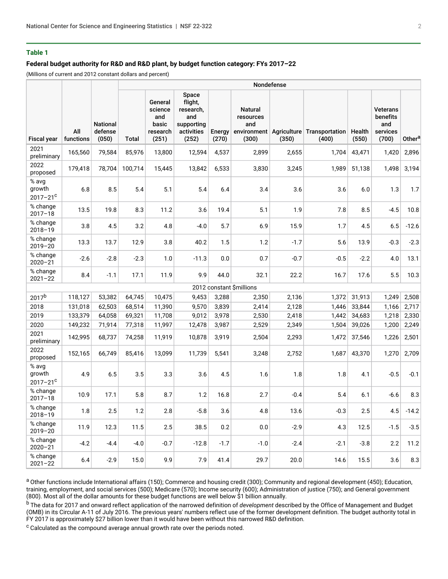#### **Table 1**

### **Federal budget authority for R&D and R&D plant, by budget function category: FYs 2017–22**

(Millions of current and 2012 constant dollars and percent)

|                                  |                  |                                     | Nondefense |                                                         |                                                                           |                 |                                             |        |                                                       |                 |                                                         |                    |
|----------------------------------|------------------|-------------------------------------|------------|---------------------------------------------------------|---------------------------------------------------------------------------|-----------------|---------------------------------------------|--------|-------------------------------------------------------|-----------------|---------------------------------------------------------|--------------------|
| <b>Fiscal year</b>               | All<br>functions | <b>National</b><br>defense<br>(050) | Total      | General<br>science<br>and<br>basic<br>research<br>(251) | Space<br>flight,<br>research,<br>and<br>supporting<br>activities<br>(252) | Energy<br>(270) | <b>Natural</b><br>resources<br>and<br>(300) | (350)  | environment   Agriculture   Transportation  <br>(400) | Health<br>(550) | <b>Veterans</b><br>benefits<br>and<br>services<br>(700) | Other <sup>a</sup> |
| 2021<br>preliminary              | 165,560          | 79,584                              | 85,976     | 13,800                                                  | 12,594                                                                    | 4,537           | 2,899                                       | 2,655  | 1,704                                                 | 43,471          | 1,420                                                   | 2,896              |
| 2022<br>proposed                 | 179,418          | 78,704                              | 100,714    | 15,445                                                  | 13,842                                                                    | 6,533           | 3,830                                       | 3,245  | 1,989                                                 | 51,138          | 1,498                                                   | 3,194              |
| % avg<br>growth<br>$2017 - 21^c$ | 6.8              | 8.5                                 | 5.4        | 5.1                                                     | 5.4                                                                       | 6.4             | 3.4                                         | 3.6    | 3.6                                                   | 6.0             | 1.3                                                     | 1.7                |
| % change<br>$2017 - 18$          | 13.5             | 19.8                                | 8.3        | 11.2                                                    | 3.6                                                                       | 19.4            | 5.1                                         | 1.9    | 7.8                                                   | 8.5             | $-4.5$                                                  | 10.8               |
| % change<br>$2018 - 19$          | 3.8              | 4.5                                 | 3.2        | 4.8                                                     | $-4.0$                                                                    | 5.7             | 6.9                                         | 15.9   | 1.7                                                   | 4.5             | 6.5                                                     | $-12.6$            |
| % change<br>$2019 - 20$          | 13.3             | 13.7                                | 12.9       | 3.8                                                     | 40.2                                                                      | 1.5             | 1.2                                         | $-1.7$ | 5.6                                                   | 13.9            | $-0.3$                                                  | $-2.3$             |
| % change<br>$2020 - 21$          | $-2.6$           | $-2.8$                              | $-2.3$     | 1.0                                                     | $-11.3$                                                                   | 0.0             | 0.7                                         | $-0.7$ | $-0.5$                                                | $-2.2$          | 4.0                                                     | 13.1               |
| % change<br>$2021 - 22$          | 8.4              | $-1.1$                              | 17.1       | 11.9                                                    | 9.9                                                                       | 44.0            | 32.1                                        | 22.2   | 16.7                                                  | 17.6            | 5.5                                                     | 10.3               |
|                                  |                  |                                     |            |                                                         |                                                                           |                 | 2012 constant \$millions                    |        |                                                       |                 |                                                         |                    |
| 2017 <sup>b</sup>                | 118,127          | 53,382                              | 64,745     | 10,475                                                  | 9,453                                                                     | 3,288           | 2,350                                       | 2,136  | 1,372                                                 | 31,913          | 1,249                                                   | 2,508              |
| 2018                             | 131,018          | 62,503                              | 68,514     | 11,390                                                  | 9,570                                                                     | 3,839           | 2,414                                       | 2,128  | 1,446                                                 | 33,844          | 1,166                                                   | 2,717              |
| 2019                             | 133,379          | 64,058                              | 69,321     | 11,708                                                  | 9,012                                                                     | 3,978           | 2,530                                       | 2,418  | 1,442                                                 | 34,683          | 1,218                                                   | 2,330              |
| 2020                             | 149,232          | 71,914                              | 77,318     | 11,997                                                  | 12,478                                                                    | 3,987           | 2,529                                       | 2,349  | 1,504                                                 | 39,026          | 1,200                                                   | 2,249              |
| 2021<br>preliminary              | 142,995          | 68,737                              | 74,258     | 11,919                                                  | 10,878                                                                    | 3,919           | 2,504                                       | 2,293  | 1,472                                                 | 37,546          | 1,226                                                   | 2,501              |
| 2022<br>proposed                 | 152,165          | 66,749                              | 85,416     | 13,099                                                  | 11,739                                                                    | 5,541           | 3,248                                       | 2,752  | 1,687                                                 | 43,370          | 1,270                                                   | 2,709              |
| % avg<br>growth<br>$2017 - 21^c$ | 4.9              | 6.5                                 | 3.5        | 3.3                                                     | 3.6                                                                       | 4.5             | 1.6                                         | 1.8    | 1.8                                                   | 4.1             | $-0.5$                                                  | $-0.1$             |
| % change<br>$2017 - 18$          | 10.9             | 17.1                                | 5.8        | 8.7                                                     | 1.2                                                                       | 16.8            | 2.7                                         | $-0.4$ | 5.4                                                   | 6.1             | $-6.6$                                                  | 8.3                |
| % change<br>$2018 - 19$          | 1.8              | 2.5                                 | 1.2        | $2.8\,$                                                 | $-5.8$                                                                    | 3.6             | 4.8                                         | 13.6   | $-0.3$                                                | 2.5             | 4.5                                                     | $-14.2$            |
| % change<br>$2019 - 20$          | 11.9             | 12.3                                | 11.5       | 2.5                                                     | 38.5                                                                      | 0.2             | $0.0\,$                                     | $-2.9$ | 4.3                                                   | 12.5            | $-1.5$                                                  | $-3.5$             |
| % change<br>$2020 - 21$          | $-4.2$           | $-4.4$                              | $-4.0$     | $-0.7$                                                  | $-12.8$                                                                   | $-1.7$          | $-1.0$                                      | $-2.4$ | $-2.1$                                                | $-3.8$          | 2.2                                                     | 11.2               |
| % change<br>$2021 - 22$          | 6.4              | $-2.9$                              | 15.0       | 9.9                                                     | 7.9                                                                       | 41.4            | 29.7                                        | 20.0   | 14.6                                                  | 15.5            | 3.6                                                     | 8.3                |

a Other functions include International affairs (150); Commerce and housing credit (300); Community and regional development (450); Education, training, employment, and social services (500); Medicare (570); Income security (600); Administration of justice (750); and General government (800). Most all of the dollar amounts for these budget functions are well below \$1 billion annually.

<sup>b</sup>The data for 2017 and onward reflect application of the narrowed definition of *development* described by the Office of Management and Budget (OMB) in its Circular A-11 of July 2016. The previous years' numbers reflect use of the former development definition. The budget authority total in FY 2017 is approximately \$27 billion lower than it would have been without this narrowed R&D definition.

 $c$  Calculated as the compound average annual growth rate over the periods noted.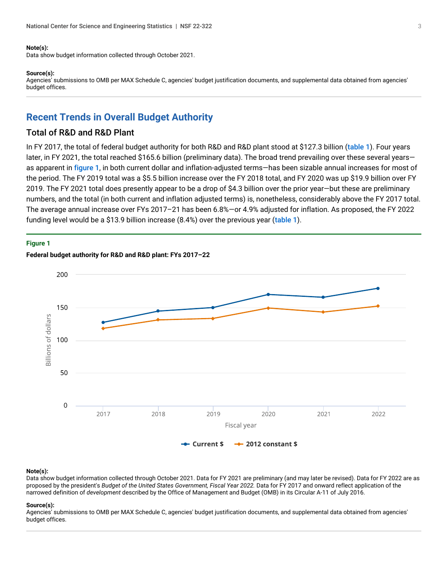#### **Note(s):**

Data show budget information collected through October 2021.

#### **Source(s):**

Agencies' submissions to OMB per MAX Schedule C, agencies' budget justification documents, and supplemental data obtained from agencies' budget offices.

### **Recent Trends in Overall Budget Authority**

### Total of R&D and R&D Plant

In FY 2017, the total of federal budget authority for both R&D and R&D plant stood at \$127.3 billion ([table 1](#page-0-0)). Four years later, in FY 2021, the total reached \$165.6 billion (preliminary data). The broad trend prevailing over these several yearsas apparent in [figure 1](#page-2-0), in both current dollar and inflation-adjusted terms—has been sizable annual increases for most of the period. The FY 2019 total was a \$5.5 billion increase over the FY 2018 total, and FY 2020 was up \$19.9 billion over FY 2019. The FY 2021 total does presently appear to be a drop of \$4.3 billion over the prior year—but these are preliminary numbers, and the total (in both current and inflation adjusted terms) is, nonetheless, considerably above the FY 2017 total. The average annual increase over FYs 2017–21 has been 6.8%—or 4.9% adjusted for inflation. As proposed, the FY 2022 funding level would be a \$13.9 billion increase (8.4%) over the previous year ([table 1](#page-0-0)).

#### <span id="page-2-0"></span>**Figure 1**



### **Federal budget authority for R&D and R&D plant: FYs 2017–22**

#### **Note(s):**

Data show budget information collected through October 2021. Data for FY 2021 are preliminary (and may later be revised). Data for FY 2022 are as proposed by the president's *Budget of the United States Government, Fiscal Year 2022*. Data for FY 2017 and onward reflect application of the narrowed definition of *development* described by the Office of Management and Budget (OMB) in its Circular A-11 of July 2016.

#### **Source(s):**

Agencies' submissions to OMB per MAX Schedule C, agencies' budget justification documents, and supplemental data obtained from agencies' budget offices.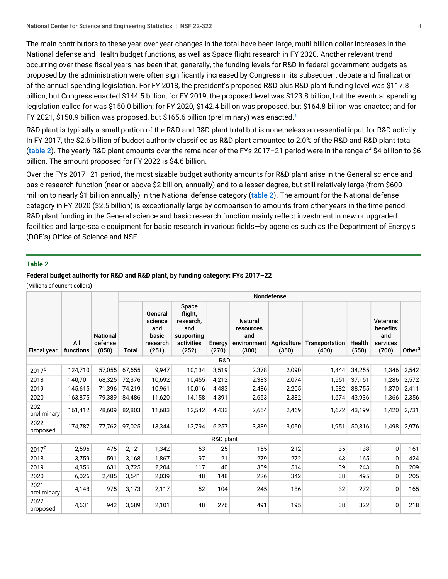The main contributors to these year-over-year changes in the total have been large, multi-billion dollar increases in the National defense and Health budget functions, as well as Space flight research in FY 2020. Another relevant trend occurring over these fiscal years has been that, generally, the funding levels for R&D in federal government budgets as proposed by the administration were often significantly increased by Congress in its subsequent debate and finalization of the annual spending legislation. For FY 2018, the president's proposed R&D plus R&D plant funding level was \$117.8 billion, but Congress enacted \$144.5 billion; for FY 2019, the proposed level was \$123.8 billion, but the eventual spending legislation called for was \$150.0 billion; for FY 2020, \$142.4 billion was proposed, but \$164.8 billion was enacted; and for FY 2021, \$150.9 billion was proposed, but \$165.6 billion (preliminary) was enacted. [1](#page-10-0)

<span id="page-3-1"></span>R&D plant is typically a small portion of the R&D and R&D plant total but is nonetheless an essential input for R&D activity. In FY 2017, the \$2.6 billion of budget authority classified as R&D plant amounted to 2.0% of the R&D and R&D plant total ([table 2](#page-3-0)). The yearly R&D plant amounts over the remainder of the FYs 2017–21 period were in the range of \$4 billion to \$6 billion. The amount proposed for FY 2022 is \$4.6 billion.

Over the FYs 2017–21 period, the most sizable budget authority amounts for R&D plant arise in the General science and basic research function (near or above \$2 billion, annually) and to a lesser degree, but still relatively large (from \$600 million to nearly \$1 billion annually) in the National defense category ([table 2](#page-3-0)). The amount for the National defense category in FY 2020 (\$2.5 billion) is exceptionally large by comparison to amounts from other years in the time period. R&D plant funding in the General science and basic research function mainly reflect investment in new or upgraded facilities and large-scale equipment for basic research in various fields—by agencies such as the Department of Energy's (DOE's) Office of Science and NSF.

#### <span id="page-3-0"></span>**Table 2**

#### **Federal budget authority for R&D and R&D plant, by funding category: FYs 2017–22**

(Millions of current dollars)

|                     |                  |                                     | Nondefense |                                                         |                                                                           |                 |                                                            |                      |                         |                 |                                                         |                    |
|---------------------|------------------|-------------------------------------|------------|---------------------------------------------------------|---------------------------------------------------------------------------|-----------------|------------------------------------------------------------|----------------------|-------------------------|-----------------|---------------------------------------------------------|--------------------|
| <b>Fiscal year</b>  | All<br>functions | <b>National</b><br>defense<br>(050) | Total      | General<br>science<br>and<br>basic<br>research<br>(251) | Space<br>flight,<br>research,<br>and<br>supporting<br>activities<br>(252) | Energy<br>(270) | <b>Natural</b><br>resources<br>and<br>environment<br>(300) | Agriculture<br>(350) | Transportation<br>(400) | Health<br>(550) | <b>Veterans</b><br>benefits<br>and<br>services<br>(700) | Other <sup>a</sup> |
| R&D                 |                  |                                     |            |                                                         |                                                                           |                 |                                                            |                      |                         |                 |                                                         |                    |
| 2017 <sup>b</sup>   | 124,710          | 57,055                              | 67,655     | 9.947                                                   | 10,134                                                                    | 3,519           | 2,378                                                      | 2,090                | 1,444                   | 34,255          | 1,346                                                   | 2,542              |
| 2018                | 140,701          | 68,325                              | 72.376     | 10,692                                                  | 10.455                                                                    | 4,212           | 2,383                                                      | 2,074                | 1,551                   | 37,151          | 1,286                                                   | 2,572              |
| 2019                | 145.615          | 71.396                              | 74.219     | 10.961                                                  | 10.016                                                                    | 4.433           | 2.486                                                      | 2,205                | 1,582                   | 38,755          | 1,370                                                   | 2,411              |
| 2020                | 163,875          | 79,389                              | 84,486     | 11,620                                                  | 14,158                                                                    | 4,391           | 2,653                                                      | 2,332                | 1,674                   | 43,936          | 1,366                                                   | 2,356              |
| 2021<br>preliminary | 161,412          | 78,609                              | 82,803     | 11,683                                                  | 12,542                                                                    | 4,433           | 2,654                                                      | 2,469                | 1,672                   | 43,199          | 1,420                                                   | 2,731              |
| 2022<br>proposed    | 174,787          | 77,762                              | 97,025     | 13,344                                                  | 13,794                                                                    | 6,257           | 3,339                                                      | 3,050                | 1,951                   | 50,816          | 1,498                                                   | 2,976              |
|                     |                  |                                     |            |                                                         |                                                                           | R&D plant       |                                                            |                      |                         |                 |                                                         |                    |
| 2017 <sup>b</sup>   | 2,596            | 475                                 | 2,121      | 1,342                                                   | 53                                                                        | 25              | 155                                                        | 212                  | 35                      | 138             | 0                                                       | 161                |
| 2018                | 3,759            | 591                                 | 3,168      | 1,867                                                   | 97                                                                        | 21              | 279                                                        | 272                  | 43                      | 165             | 0                                                       | 424                |
| 2019                | 4,356            | 631                                 | 3,725      | 2,204                                                   | 117                                                                       | 40              | 359                                                        | 514                  | 39                      | 243             | 0                                                       | 209                |
| 2020                | 6,026            | 2,485                               | 3,541      | 2,039                                                   | 48                                                                        | 148             | 226                                                        | 342                  | 38                      | 495             | 0                                                       | 205                |
| 2021<br>preliminary | 4,148            | 975                                 | 3,173      | 2,117                                                   | 52                                                                        | 104             | 245                                                        | 186                  | 32                      | 272             | 0                                                       | 165                |
| 2022<br>proposed    | 4,631            | 942                                 | 3,689      | 2,101                                                   | 48                                                                        | 276             | 491                                                        | 195                  | 38                      | 322             | 0                                                       | 218                |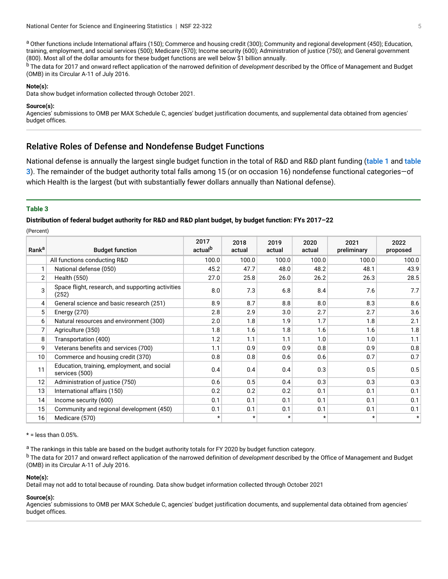a Other functions include International affairs (150); Commerce and housing credit (300); Community and regional development (450); Education, training, employment, and social services (500); Medicare (570); Income security (600); Administration of justice (750); and General government (800). Most all of the dollar amounts for these budget functions are well below \$1 billion annually.

<sup>b</sup>The data for 2017 and onward reflect application of the narrowed definition of *development* described by the Office of Management and Budget (OMB) in its Circular A-11 of July 2016.

#### **Note(s):**

Data show budget information collected through October 2021.

#### **Source(s):**

Agencies' submissions to OMB per MAX Schedule C, agencies' budget justification documents, and supplemental data obtained from agencies' budget offices.

### Relative Roles of Defense and Nondefense Budget Functions

National defense is annually the largest single budget function in the total of R&D and R&D plant funding ([table 1](#page-0-0) and table [3](#page-4-0)). The remainder of the budget authority total falls among 15 (or on occasion 16) nondefense functional categories—of which Health is the largest (but with substantially fewer dollars annually than National defense).

### <span id="page-4-0"></span>**Table 3**

**Distribution of federal budget authority for R&D and R&D plant budget, by budget function: FYs 2017–22**

(Percent)

| Rank <sup>a</sup> | <b>Budget function</b>                                        | 2017<br>actual <sup>b</sup> | 2018<br>actual | 2019<br>actual | 2020<br>actual | 2021<br>preliminary | 2022<br>proposed |
|-------------------|---------------------------------------------------------------|-----------------------------|----------------|----------------|----------------|---------------------|------------------|
|                   | All functions conducting R&D                                  | 100.0                       | 100.0          | 100.0          | 100.0          | 100.0               | 100.0            |
| 1                 | National defense (050)                                        | 45.2                        | 47.7           | 48.0           | 48.2           | 48.1                | 43.9             |
| 2                 | Health (550)                                                  | 27.0                        | 25.8           | 26.0           | 26.2           | 26.3                | 28.5             |
| 3                 | Space flight, research, and supporting activities<br>(252)    | 8.0                         | 7.3            | 6.8            | 8.4            | 7.6                 | 7.7              |
| 4                 | General science and basic research (251)                      | 8.9                         | 8.7            | 8.8            | 8.0            | 8.3                 | 8.6              |
| 5                 | Energy $(270)$                                                | 2.8                         | 2.9            | 3.0            | 2.7            | 2.7                 | 3.6              |
| 6                 | Natural resources and environment (300)                       | 2.0                         | 1.8            | 1.9            | 1.7            | 1.8                 | 2.1              |
| 7                 | Agriculture (350)                                             | 1.8                         | 1.6            | 1.8            | 1.6            | 1.6                 | 1.8              |
| 8                 | Transportation (400)                                          | 1.2                         | 1.1            | 1.1            | 1.0            | 1.0                 | 1.1              |
| 9                 | Veterans benefits and services (700)                          | 1.1                         | 0.9            | 0.9            | 0.8            | 0.9                 | 0.8              |
| 10                | Commerce and housing credit (370)                             | 0.8                         | 0.8            | 0.6            | 0.6            | 0.7                 | 0.7              |
| 11                | Education, training, employment, and social<br>services (500) | 0.4                         | 0.4            | 0.4            | 0.3            | 0.5                 | 0.5              |
| 12                | Administration of justice (750)                               | 0.6                         | 0.5            | 0.4            | 0.3            | 0.3                 | 0.3              |
| 13                | International affairs (150)                                   | 0.2                         | 0.2            | 0.2            | 0.1            | 0.1                 | 0.1              |
| 14                | Income security (600)                                         | 0.1                         | 0.1            | 0.1            | 0.1            | 0.1                 | 0.1              |
| 15                | Community and regional development (450)                      | 0.1                         | 0.1            | 0.1            | 0.1            | 0.1                 | 0.1              |
| 16                | Medicare (570)                                                | $\star$                     | $^\star$       | $^\star$       | $\star$        | $^\star$            | $\star$          |

#### $*$  = less than 0.05%.

<sup>a</sup> The rankings in this table are based on the budget authority totals for FY 2020 by budget function category.

<sup>b</sup> The data for 2017 and onward reflect application of the narrowed definition of *development* described by the Office of Management and Budget (OMB) in its Circular A-11 of July 2016.

#### **Note(s):**

Detail may not add to total because of rounding. Data show budget information collected through October 2021

#### **Source(s):**

Agencies' submissions to OMB per MAX Schedule C, agencies' budget justification documents, and supplemental data obtained from agencies' budget offices.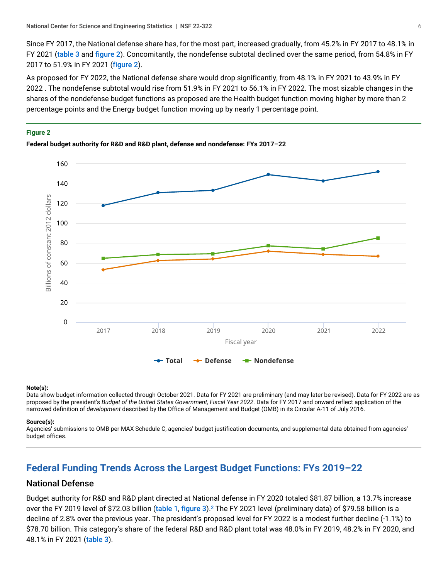Since FY 2017, the National defense share has, for the most part, increased gradually, from 45.2% in FY 2017 to 48.1% in FY 2021 ([table 3](#page-4-0) and [figure 2](#page-5-0)). Concomitantly, the nondefense subtotal declined over the same period, from 54.8% in FY 2017 to 51.9% in FY 2021 ([figure 2](#page-5-0)).

As proposed for FY 2022, the National defense share would drop significantly, from 48.1% in FY 2021 to 43.9% in FY 2022 . The nondefense subtotal would rise from 51.9% in FY 2021 to 56.1% in FY 2022. The most sizable changes in the shares of the nondefense budget functions as proposed are the Health budget function moving higher by more than 2 percentage points and the Energy budget function moving up by nearly 1 percentage point.

#### <span id="page-5-0"></span>**Figure 2**





### **Note(s):**

Data show budget information collected through October 2021. Data for FY 2021 are preliminary (and may later be revised). Data for FY 2022 are as proposed by the president's *Budget of the United States Government, Fiscal Year 2022*. Data for FY 2017 and onward reflect application of the narrowed definition of *development* described by the Office of Management and Budget (OMB) in its Circular A-11 of July 2016.

#### **Source(s):**

Agencies' submissions to OMB per MAX Schedule C, agencies' budget justification documents, and supplemental data obtained from agencies' budget offices.

# **Federal Funding Trends Across the Largest Budget Functions: FYs 2019–22**

### National Defense

<span id="page-5-1"></span>Budget authority for R&D and R&D plant directed at National defense in FY 2020 totaled \$81.87 billion, a 13.7% increase over the FY 2019 level of \$72.03 billion (t<mark>able 1, [figure 3](#page-6-0)</mark>).<sup>[2](#page-10-1)</sup> The FY 2021 level (preliminary data) of \$79.58 billion is a decline of 2.8% over the previous year. The president's proposed level for FY 2022 is a modest further decline (-1.1%) to \$78.70 billion. This category's share of the federal R&D and R&D plant total was 48.0% in FY 2019, 48.2% in FY 2020, and 48.1% in FY 2021 ([table 3](#page-4-0)).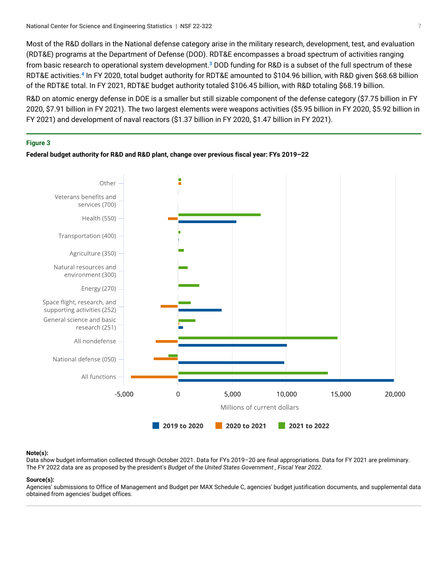<span id="page-6-1"></span>Most of the R&D dollars in the National defense category arise in the military research, development, test, and evaluation (RDT&E) programs at the Department of Defense (DOD). RDT&E encompasses a broad spectrum of activities ranging from basic research to operational system development.<sup>[3](#page-10-2)</sup> DOD funding for R&D is a subset of the full spectrum of these RDT&E activities.<sup>[4](#page-10-3)</sup> In FY 2020, total budget authority for RDT&E amounted to \$104.96 billion, with R&D given \$68.68 billion of the RDT&E total. In FY 2021, RDT&E budget authority totaled \$106.45 billion, with R&D totaling \$68.19 billion.

<span id="page-6-2"></span>R&D on atomic energy defense in DOE is a smaller but still sizable component of the defense category (\$7.75 billion in FY 2020, \$7.91 billion in FY 2021). The two largest elements were weapons activities (\$5.95 billion in FY 2020, \$5.92 billion in FY 2021) and development of naval reactors (\$1.37 billion in FY 2020, \$1.47 billion in FY 2021).

#### <span id="page-6-0"></span>**Figure 3**





#### **Note(s):**

Data show budget information collected through October 2021. Data for FYs 2019–20 are final appropriations. Data for FY 2021 are preliminary. The FY 2022 data are as proposed by the president's *Budget of the United States Government , Fiscal Year 2022.*

#### **Source(s):**

Agencies' submissions to Office of Management and Budget per MAX Schedule C, agencies' budget justification documents, and supplemental data obtained from agencies' budget offices.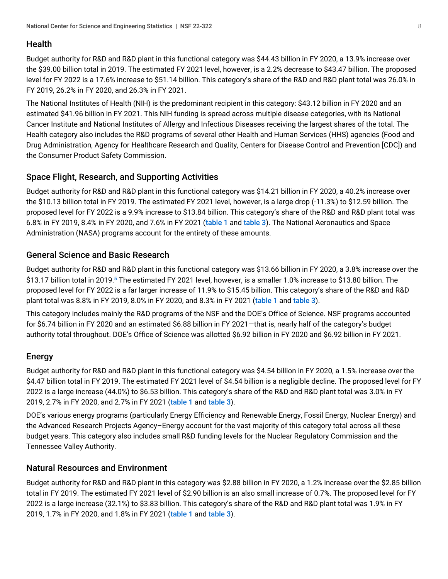# Health

Budget authority for R&D and R&D plant in this functional category was \$44.43 billion in FY 2020, a 13.9% increase over the \$39.00 billion total in 2019. The estimated FY 2021 level, however, is a 2.2% decrease to \$43.47 billion. The proposed level for FY 2022 is a 17.6% increase to \$51.14 billion. This category's share of the R&D and R&D plant total was 26.0% in FY 2019, 26.2% in FY 2020, and 26.3% in FY 2021.

The National Institutes of Health (NIH) is the predominant recipient in this category: \$43.12 billion in FY 2020 and an estimated \$41.96 billion in FY 2021. This NIH funding is spread across multiple disease categories, with its National Cancer Institute and National Institutes of Allergy and Infectious Diseases receiving the largest shares of the total. The Health category also includes the R&D programs of several other Health and Human Services (HHS) agencies (Food and Drug Administration, Agency for Healthcare Research and Quality, Centers for Disease Control and Prevention [CDC]) and the Consumer Product Safety Commission.

# Space Flight, Research, and Supporting Activities

Budget authority for R&D and R&D plant in this functional category was \$14.21 billion in FY 2020, a 40.2% increase over the \$10.13 billion total in FY 2019. The estimated FY 2021 level, however, is a large drop (-11.3%) to \$12.59 billion. The proposed level for FY 2022 is a 9.9% increase to \$13.84 billion. This category's share of the R&D and R&D plant total was 6.8% in FY 2019, 8.4% in FY 2020, and 7.6% in FY 2021 ([table 1](#page-0-0) and [table 3](#page-4-0)). The National Aeronautics and Space Administration (NASA) programs account for the entirety of these amounts.

# General Science and Basic Research

<span id="page-7-0"></span>Budget authority for R&D and R&D plant in this functional category was \$13.66 billion in FY 2020, a 3.8% increase over the \$13.17 billion total in 2019.<sup>[5](#page-10-4)</sup> The estimated FY 2021 level, however, is a smaller 1.0% increase to \$13.80 billion. The proposed level for FY 2022 is a far larger increase of 11.9% to \$15.45 billion. This category's share of the R&D and R&D plant total was 8.8% in FY 2019, 8.0% in FY 2020, and 8.3% in FY 2021 ([table 1](#page-0-0) and [table 3](#page-4-0)).

This category includes mainly the R&D programs of the NSF and the DOE's Office of Science. NSF programs accounted for \$6.74 billion in FY 2020 and an estimated \$6.88 billion in FY 2021—that is, nearly half of the category's budget authority total throughout. DOE's Office of Science was allotted \$6.92 billion in FY 2020 and \$6.92 billion in FY 2021.

# Energy

Budget authority for R&D and R&D plant in this functional category was \$4.54 billion in FY 2020, a 1.5% increase over the \$4.47 billion total in FY 2019. The estimated FY 2021 level of \$4.54 billion is a negligible decline. The proposed level for FY 2022 is a large increase (44.0%) to \$6.53 billion. This category's share of the R&D and R&D plant total was 3.0% in FY 2019, 2.7% in FY 2020, and 2.7% in FY 2021 ([table 1](#page-0-0) and [table 3](#page-4-0)).

DOE's various energy programs (particularly Energy Efficiency and Renewable Energy, Fossil Energy, Nuclear Energy) and the Advanced Research Projects Agency–Energy account for the vast majority of this category total across all these budget years. This category also includes small R&D funding levels for the Nuclear Regulatory Commission and the Tennessee Valley Authority.

### Natural Resources and Environment

Budget authority for R&D and R&D plant in this category was \$2.88 billion in FY 2020, a 1.2% increase over the \$2.85 billion total in FY 2019. The estimated FY 2021 level of \$2.90 billion is an also small increase of 0.7%. The proposed level for FY 2022 is a large increase (32.1%) to \$3.83 billion. This category's share of the R&D and R&D plant total was 1.9% in FY 2019, 1.7% in FY 2020, and 1.8% in FY 2021 ([table 1](#page-0-0) and [table 3](#page-4-0)).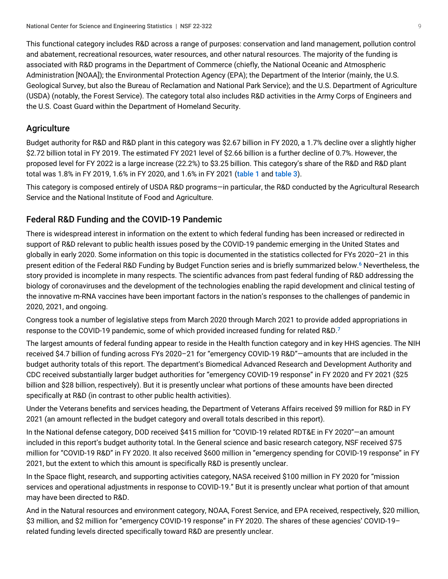This functional category includes R&D across a range of purposes: conservation and land management, pollution control and abatement, recreational resources, water resources, and other natural resources. The majority of the funding is associated with R&D programs in the Department of Commerce (chiefly, the National Oceanic and Atmospheric Administration [NOAA]); the Environmental Protection Agency (EPA); the Department of the Interior (mainly, the U.S. Geological Survey, but also the Bureau of Reclamation and National Park Service); and the U.S. Department of Agriculture (USDA) (notably, the Forest Service). The category total also includes R&D activities in the Army Corps of Engineers and the U.S. Coast Guard within the Department of Homeland Security.

### **Agriculture**

Budget authority for R&D and R&D plant in this category was \$2.67 billion in FY 2020, a 1.7% decline over a slightly higher \$2.72 billion total in FY 2019. The estimated FY 2021 level of \$2.66 billion is a further decline of 0.7%. However, the proposed level for FY 2022 is a large increase (22.2%) to \$3.25 billion. This category's share of the R&D and R&D plant total was 1.8% in FY 2019, 1.6% in FY 2020, and 1.6% in FY 2021 ([table 1](#page-0-0) and [table 3](#page-4-0)).

This category is composed entirely of USDA R&D programs—in particular, the R&D conducted by the Agricultural Research Service and the National Institute of Food and Agriculture.

# Federal R&D Funding and the COVID-19 Pandemic

<span id="page-8-0"></span>There is widespread interest in information on the extent to which federal funding has been increased or redirected in support of R&D relevant to public health issues posed by the COVID-19 pandemic emerging in the United States and globally in early 2020. Some information on this topic is documented in the statistics collected for FYs 2020–21 in this present edition of the Federal R&D Funding by Budget Function series and is briefly summarized below. [6](#page-10-5) Nevertheless, the story provided is incomplete in many respects. The scientific advances from past federal funding of R&D addressing the biology of coronaviruses and the development of the technologies enabling the rapid development and clinical testing of the innovative m-RNA vaccines have been important factors in the nation's responses to the challenges of pandemic in 2020, 2021, and ongoing.

<span id="page-8-1"></span>Congress took a number of legislative steps from March 2020 through March 2021 to provide added appropriations in response to the COVID-19 pandemic, some of which provided increased funding for related R&D.<sup>[7](#page-10-6)</sup>

The largest amounts of federal funding appear to reside in the Health function category and in key HHS agencies. The NIH received \$4.7 billion of funding across FYs 2020–21 for "emergency COVID-19 R&D"—amounts that are included in the budget authority totals of this report. The department's Biomedical Advanced Research and Development Authority and CDC received substantially larger budget authorities for "emergency COVID-19 response" in FY 2020 and FY 2021 (\$25 billion and \$28 billion, respectively). But it is presently unclear what portions of these amounts have been directed specifically at R&D (in contrast to other public health activities).

Under the Veterans benefits and services heading, the Department of Veterans Affairs received \$9 million for R&D in FY 2021 (an amount reflected in the budget category and overall totals described in this report).

In the National defense category, DOD received \$415 million for "COVID-19 related RDT&E in FY 2020"—an amount included in this report's budget authority total. In the General science and basic research category, NSF received \$75 million for "COVID-19 R&D" in FY 2020. It also received \$600 million in "emergency spending for COVID-19 response" in FY 2021, but the extent to which this amount is specifically R&D is presently unclear.

In the Space flight, research, and supporting activities category, NASA received \$100 million in FY 2020 for "mission services and operational adjustments in response to COVID-19." But it is presently unclear what portion of that amount may have been directed to R&D.

And in the Natural resources and environment category, NOAA, Forest Service, and EPA received, respectively, \$20 million, \$3 million, and \$2 million for "emergency COVID-19 response" in FY 2020. The shares of these agencies' COVID-19– related funding levels directed specifically toward R&D are presently unclear.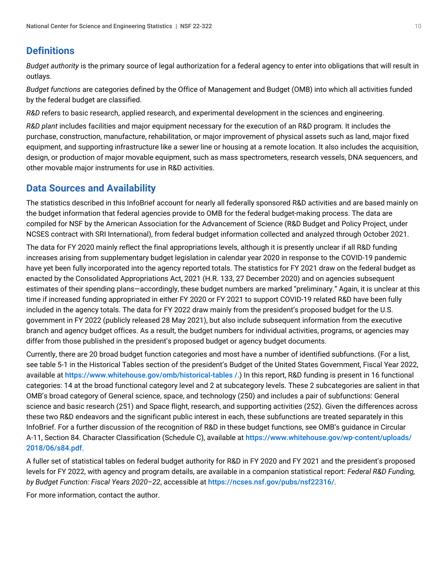# **Definitions**

*Budget authority* is the primary source of legal authorization for a federal agency to enter into obligations that will result in outlays.

*Budget functions* are categories defined by the Office of Management and Budget (OMB) into which all activities funded by the federal budget are classified.

*R&D* refers to basic research, applied research, and experimental development in the sciences and engineering.

*R&D plant* includes facilities and major equipment necessary for the execution of an R&D program. It includes the purchase, construction, manufacture, rehabilitation, or major improvement of physical assets such as land, major fixed equipment, and supporting infrastructure like a sewer line or housing at a remote location. It also includes the acquisition, design, or production of major movable equipment, such as mass spectrometers, research vessels, DNA sequencers, and other movable major instruments for use in R&D activities.

# <span id="page-9-0"></span>**Data Sources and Availability**

The statistics described in this InfoBrief account for nearly all federally sponsored R&D activities and are based mainly on the budget information that federal agencies provide to OMB for the federal budget-making process. The data are compiled for NSF by the American Association for the Advancement of Science (R&D Budget and Policy Project, under NCSES contract with SRI International), from federal budget information collected and analyzed through October 2021.

The data for FY 2020 mainly reflect the final appropriations levels, although it is presently unclear if all R&D funding increases arising from supplementary budget legislation in calendar year 2020 in response to the COVID-19 pandemic have yet been fully incorporated into the agency reported totals. The statistics for FY 2021 draw on the federal budget as enacted by the Consolidated Appropriations Act, 2021 (H.R. 133, 27 December 2020) and on agencies subsequent estimates of their spending plans—accordingly, these budget numbers are marked "preliminary." Again, it is unclear at this time if increased funding appropriated in either FY 2020 or FY 2021 to support COVID-19 related R&D have been fully included in the agency totals. The data for FY 2022 draw mainly from the president's proposed budget for the U.S. government in FY 2022 (publicly released 28 May 2021), but also include subsequent information from the executive branch and agency budget offices. As a result, the budget numbers for individual activities, programs, or agencies may differ from those published in the president's proposed budget or agency budget documents.

Currently, there are 20 broad budget function categories and most have a number of identified subfunctions. (For a list, see table 5-1 in the Historical Tables section of the president's Budget of the United States Government, Fiscal Year 2022, available at [https://www.whitehouse.gov/omb/historical-tables /](https://www.whitehouse.gov/omb/historical-tables%20/).) In this report, R&D funding is present in 16 functional categories: 14 at the broad functional category level and 2 at subcategory levels. These 2 subcategories are salient in that OMB's broad category of General science, space, and technology (250) and includes a pair of subfunctions: General science and basic research (251) and Space flight, research, and supporting activities (252). Given the differences across these two R&D endeavors and the significant public interest in each, these subfunctions are treated separately in this InfoBrief. For a further discussion of the recognition of R&D in these budget functions, see OMB's guidance in Circular A-11, Section 84. Character Classification (Schedule C), available at [https://www.whitehouse.gov/wp-content/uploads/](https://www.whitehouse.gov/wp-content/uploads/2018/06/s84.pdf) [2018/06/s84.pdf](https://www.whitehouse.gov/wp-content/uploads/2018/06/s84.pdf).

A fuller set of statistical tables on federal budget authority for R&D in FY 2020 and FY 2021 and the president's proposed levels for FY 2022, with agency and program details, are available in a companion statistical report: *Federal R&D Funding, by Budget Function: Fiscal Years 2020–22*, accessible at <https://ncses.nsf.gov/pubs/nsf22316/>.

For more information, contact the author.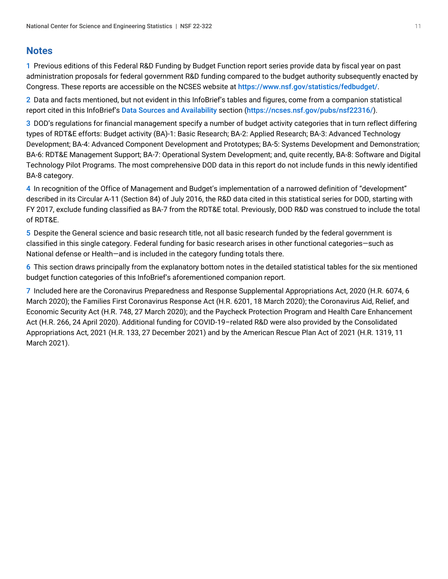# **Notes**

<span id="page-10-0"></span>[1](#page-3-1) Previous editions of this Federal R&D Funding by Budget Function report series provide data by fiscal year on past administration proposals for federal government R&D funding compared to the budget authority subsequently enacted by Congress. These reports are accessible on the NCSES website at <https://www.nsf.gov/statistics/fedbudget/>.

<span id="page-10-1"></span>[2](#page-5-1) Data and facts mentioned, but not evident in this InfoBrief's tables and figures, come from a companion statistical report cited in this InfoBrief's [Data Sources and Availability](#page-9-0) section (<https://ncses.nsf.gov/pubs/nsf22316/>).

<span id="page-10-2"></span>[3](#page-6-1) DOD's regulations for financial management specify a number of budget activity categories that in turn reflect differing types of RDT&E efforts: Budget activity (BA)-1: Basic Research; BA-2: Applied Research; BA-3: Advanced Technology Development; BA-4: Advanced Component Development and Prototypes; BA-5: Systems Development and Demonstration; BA-6: RDT&E Management Support; BA-7: Operational System Development; and, quite recently, BA-8: Software and Digital Technology Pilot Programs. The most comprehensive DOD data in this report do not include funds in this newly identified BA-8 category.

<span id="page-10-3"></span>[4](#page-6-2) In recognition of the Office of Management and Budget's implementation of a narrowed definition of "development" described in its Circular A-11 (Section 84) of July 2016, the R&D data cited in this statistical series for DOD, starting with FY 2017, exclude funding classified as BA-7 from the RDT&E total. Previously, DOD R&D was construed to include the total of RDT&E.

<span id="page-10-4"></span>[5](#page-7-0) Despite the General science and basic research title, not all basic research funded by the federal government is classified in this single category. Federal funding for basic research arises in other functional categories—such as National defense or Health—and is included in the category funding totals there.

<span id="page-10-5"></span>[6](#page-8-0) This section draws principally from the explanatory bottom notes in the detailed statistical tables for the six mentioned budget function categories of this InfoBrief's aforementioned companion report.

<span id="page-10-6"></span>[7](#page-8-1) Included here are the Coronavirus Preparedness and Response Supplemental Appropriations Act, 2020 (H.R. 6074, 6 March 2020); the Families First Coronavirus Response Act (H.R. 6201, 18 March 2020); the Coronavirus Aid, Relief, and Economic Security Act (H.R. 748, 27 March 2020); and the Paycheck Protection Program and Health Care Enhancement Act (H.R. 266, 24 April 2020). Additional funding for COVID-19–related R&D were also provided by the Consolidated Appropriations Act, 2021 (H.R. 133, 27 December 2021) and by the American Rescue Plan Act of 2021 (H.R. 1319, 11 March 2021).